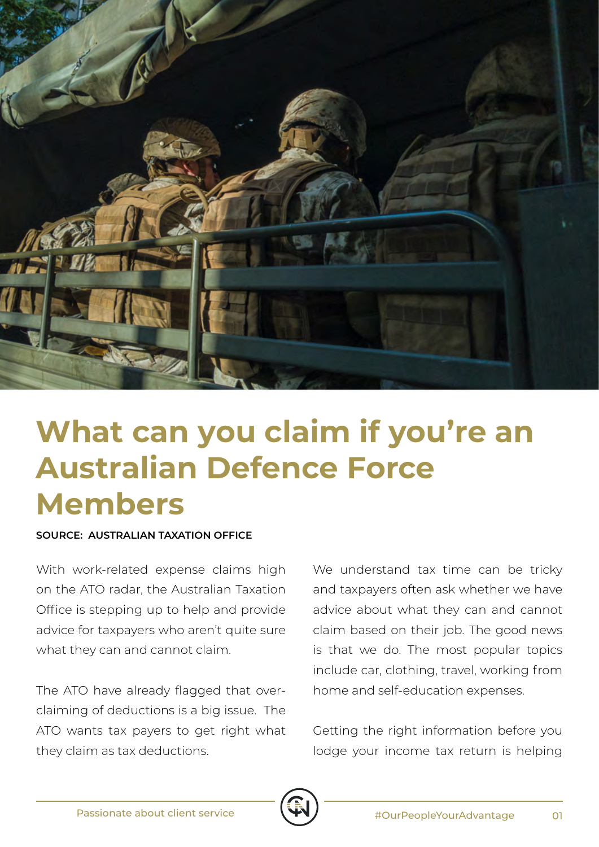

## **What can you claim if you're an Australian Defence Force Members**

## **SOURCE: AUSTRALIAN TAXATION OFFICE**

With work-related expense claims high on the ATO radar, the Australian Taxation Office is stepping up to help and provide advice for taxpayers who aren't quite sure what they can and cannot claim.

The ATO have already flagged that overclaiming of deductions is a big issue. The ATO wants tax payers to get right what they claim as tax deductions.

We understand tax time can be tricky and taxpayers often ask whether we have advice about what they can and cannot claim based on their job. The good news is that we do. The most popular topics include car, clothing, travel, working from home and self-education expenses.

Getting the right information before you lodge your income tax return is helping

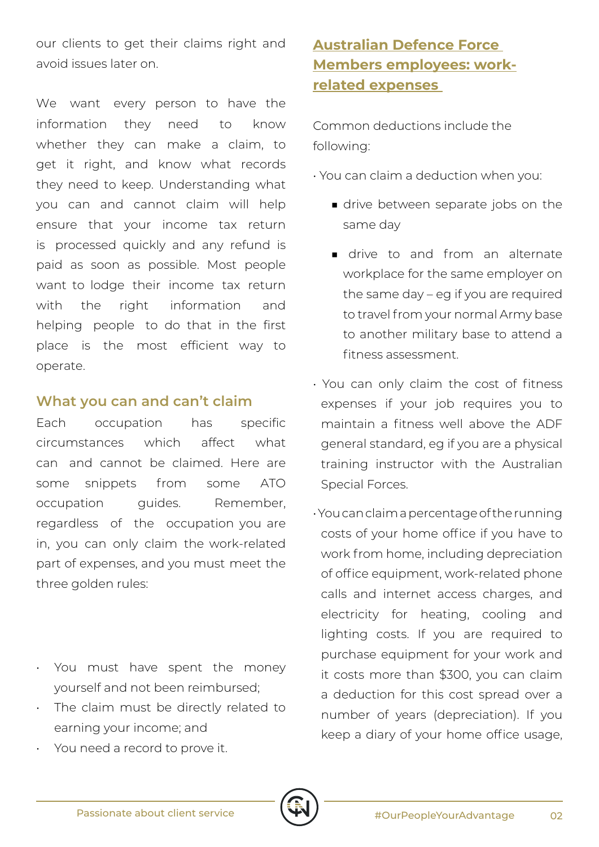our clients to get their claims right and avoid issues later on.

We want every person to have the information they need to know whether they can make a claim, to get it right, and know what records they need to keep. Understanding what you can and cannot claim will help ensure that your income tax return is processed quickly and any refund is paid as soon as possible. Most people want to lodge their income tax return with the right information and helping people to do that in the first place is the most efficient way to operate.

## **What you can and can't claim**

Each occupation has specific circumstances which affect what can and cannot be claimed. Here are some snippets from some ATO occupation guides. Remember, regardless of the occupation you are in, you can only claim the work-related part of expenses, and you must meet the three golden rules:

- You must have spent the money yourself and not been reimbursed;
- The claim must be directly related to earning your income; and
- You need a record to prove it.

## **Australian Defence Force Members employees: workrelated expenses**

Common deductions include the following:

• You can claim a deduction when you:

- drive between separate jobs on the same day
- drive to and from an alternate workplace for the same employer on the same day – eg if you are required to travel from your normal Army base to another military base to attend a fitness assessment.
- You can only claim the cost of fitness expenses if your job requires you to maintain a fitness well above the ADF general standard, eg if you are a physical training instructor with the Australian Special Forces.
- You can claim a percentage of the running costs of your home office if you have to work from home, including depreciation of office equipment, work-related phone calls and internet access charges, and electricity for heating, cooling and lighting costs. If you are required to purchase equipment for your work and it costs more than \$300, you can claim a deduction for this cost spread over a number of years (depreciation). If you keep a diary of your home office usage,